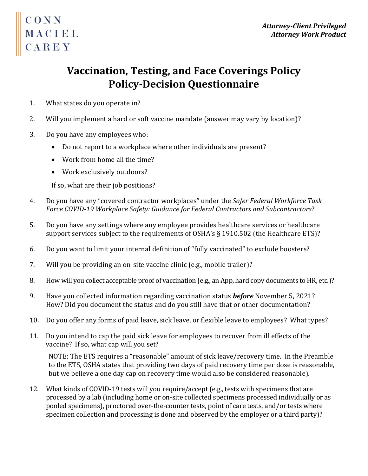## CONN<br>MACIEL<br>CAPEY CAREY

## **Vaccination, Testing, and Face Coverings Policy Policy-Decision Questionnaire**

- 1. What states do you operate in?
- 2. Will you implement a hard or soft vaccine mandate (answer may vary by location)?
- 3. Do you have any employees who:
	- Do not report to a workplace where other individuals are present?
	- Work from home all the time?
	- Work exclusively outdoors?

If so, what are their job positions?

- 4. Do you have any "covered contractor workplaces" under the *Safer Federal Workforce Task Force COVID-19 Workplace Safety: Guidance for Federal Contractors and Subcontractors*?
- 5. Do you have any settings where any employee provides healthcare services or healthcare support services subject to the requirements of OSHA's § 1910.502 (the Healthcare ETS)?
- 6. Do you want to limit your internal definition of "fully vaccinated" to exclude boosters?
- 7. Will you be providing an on-site vaccine clinic (e.g., mobile trailer)?
- 8. How will you collect acceptable proof of vaccination (e.g., an App, hard copy documents to HR, etc.)?
- 9. Have you collected information regarding vaccination status *before* November 5, 2021? How? Did you document the status and do you still have that or other documentation?
- 10. Do you offer any forms of paid leave, sick leave, or flexible leave to employees? What types?
- 11. Do you intend to cap the paid sick leave for employees to recover from ill effects of the vaccine? If so, what cap will you set?

NOTE: The ETS requires a "reasonable" amount of sick leave/recovery time. In the Preamble to the ETS, OSHA states that providing two days of paid recovery time per dose is reasonable, but we believe a one day cap on recovery time would also be considered reasonable).

12. What kinds of COVID-19 tests will you require/accept (e.g., tests with specimens that are processed by a lab (including home or on-site collected specimens processed individually or as pooled specimens), proctored over-the-counter tests, point of care tests, and/or tests where specimen collection and processing is done and observed by the employer or a third party)?